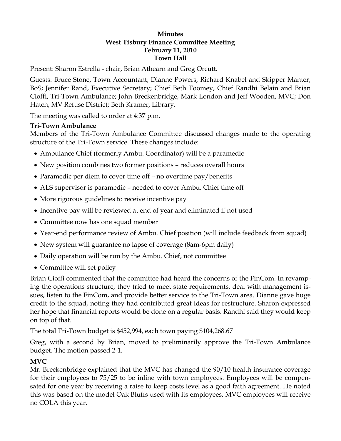#### **Minutes West Tisbury Finance Committee Meeting February 11, 2010 Town Hall**

Present: Sharon Estrella - chair, Brian Athearn and Greg Orcutt.

Guests: Bruce Stone, Town Accountant; Dianne Powers, Richard Knabel and Skipper Manter, BoS; Jennifer Rand, Executive Secretary; Chief Beth Toomey, Chief Randhi Belain and Brian Cioffi, Tri-Town Ambulance; John Breckenbridge, Mark London and Jeff Wooden, MVC; Don Hatch, MV Refuse District; Beth Kramer, Library.

The meeting was called to order at 4:37 p.m.

## **Tri-Town Ambulance**

Members of the Tri-Town Ambulance Committee discussed changes made to the operating structure of the Tri-Town service. These changes include:

- Ambulance Chief (formerly Ambu. Coordinator) will be a paramedic
- New position combines two former positions reduces overall hours
- Paramedic per diem to cover time off no overtime pay/benefits
- ALS supervisor is paramedic needed to cover Ambu. Chief time off
- More rigorous guidelines to receive incentive pay
- Incentive pay will be reviewed at end of year and eliminated if not used
- Committee now has one squad member
- Year-end performance review of Ambu. Chief position (will include feedback from squad)
- New system will guarantee no lapse of coverage (8am-6pm daily)
- Daily operation will be run by the Ambu. Chief, not committee
- Committee will set policy

Brian Cioffi commented that the committee had heard the concerns of the FinCom. In revamping the operations structure, they tried to meet state requirements, deal with management issues, listen to the FinCom, and provide better service to the Tri-Town area. Dianne gave huge credit to the squad, noting they had contributed great ideas for restructure. Sharon expressed her hope that financial reports would be done on a regular basis. Randhi said they would keep on top of that.

The total Tri-Town budget is \$452,994, each town paying \$104,268.67

Greg, with a second by Brian, moved to preliminarily approve the Tri-Town Ambulance budget. The motion passed 2-1.

# **MVC**

Mr. Breckenbridge explained that the MVC has changed the 90/10 health insurance coverage for their employees to 75/25 to be inline with town employees. Employees will be compensated for one year by receiving a raise to keep costs level as a good faith agreement. He noted this was based on the model Oak Bluffs used with its employees. MVC employees will receive no COLA this year.